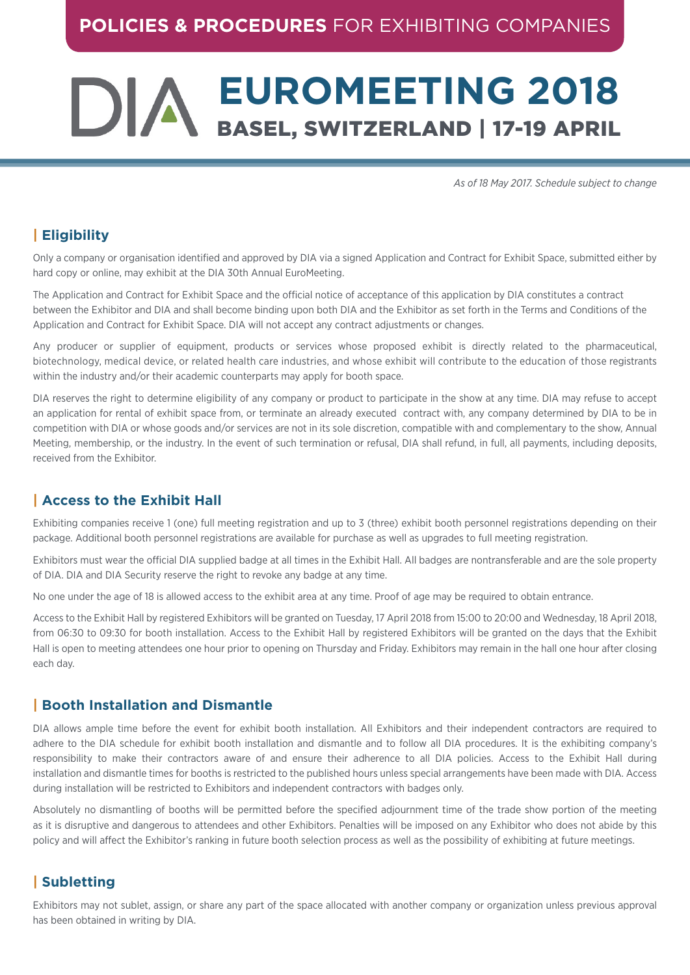# **EUROMEETING 2018** DIA BASEL, SWITZERLAND | 17-19 APRIL

*As of 18 May 2017. Schedule subject to change*

# **| Eligibility**

Only a company or organisation identified and approved by DIA via a signed Application and Contract for Exhibit Space, submitted either by hard copy or online, may exhibit at the DIA 30th Annual EuroMeeting.

The Application and Contract for Exhibit Space and the official notice of acceptance of this application by DIA constitutes a contract between the Exhibitor and DIA and shall become binding upon both DIA and the Exhibitor as set forth in the Terms and Conditions of the Application and Contract for Exhibit Space. DIA will not accept any contract adjustments or changes.

Any producer or supplier of equipment, products or services whose proposed exhibit is directly related to the pharmaceutical, biotechnology, medical device, or related health care industries, and whose exhibit will contribute to the education of those registrants within the industry and/or their academic counterparts may apply for booth space.

DIA reserves the right to determine eligibility of any company or product to participate in the show at any time. DIA may refuse to accept an application for rental of exhibit space from, or terminate an already executed contract with, any company determined by DIA to be in competition with DIA or whose goods and/or services are not in its sole discretion, compatible with and complementary to the show, Annual Meeting, membership, or the industry. In the event of such termination or refusal, DIA shall refund, in full, all payments, including deposits, received from the Exhibitor.

# **| Access to the Exhibit Hall**

Exhibiting companies receive 1 (one) full meeting registration and up to 3 (three) exhibit booth personnel registrations depending on their package. Additional booth personnel registrations are available for purchase as well as upgrades to full meeting registration.

Exhibitors must wear the official DIA supplied badge at all times in the Exhibit Hall. All badges are nontransferable and are the sole property of DIA. DIA and DIA Security reserve the right to revoke any badge at any time.

No one under the age of 18 is allowed access to the exhibit area at any time. Proof of age may be required to obtain entrance.

Access to the Exhibit Hall by registered Exhibitors will be granted on Tuesday, 17 April 2018 from 15:00 to 20:00 and Wednesday, 18 April 2018, from 06:30 to 09:30 for booth installation. Access to the Exhibit Hall by registered Exhibitors will be granted on the days that the Exhibit Hall is open to meeting attendees one hour prior to opening on Thursday and Friday. Exhibitors may remain in the hall one hour after closing each day.

#### **| Booth Installation and Dismantle**

DIA allows ample time before the event for exhibit booth installation. All Exhibitors and their independent contractors are required to adhere to the DIA schedule for exhibit booth installation and dismantle and to follow all DIA procedures. It is the exhibiting company's responsibility to make their contractors aware of and ensure their adherence to all DIA policies. Access to the Exhibit Hall during installation and dismantle times for booths is restricted to the published hours unless special arrangements have been made with DIA. Access during installation will be restricted to Exhibitors and independent contractors with badges only.

Absolutely no dismantling of booths will be permitted before the specified adjournment time of the trade show portion of the meeting as it is disruptive and dangerous to attendees and other Exhibitors. Penalties will be imposed on any Exhibitor who does not abide by this policy and will affect the Exhibitor's ranking in future booth selection process as well as the possibility of exhibiting at future meetings.

# **| Subletting**

Exhibitors may not sublet, assign, or share any part of the space allocated with another company or organization unless previous approval has been obtained in writing by DIA.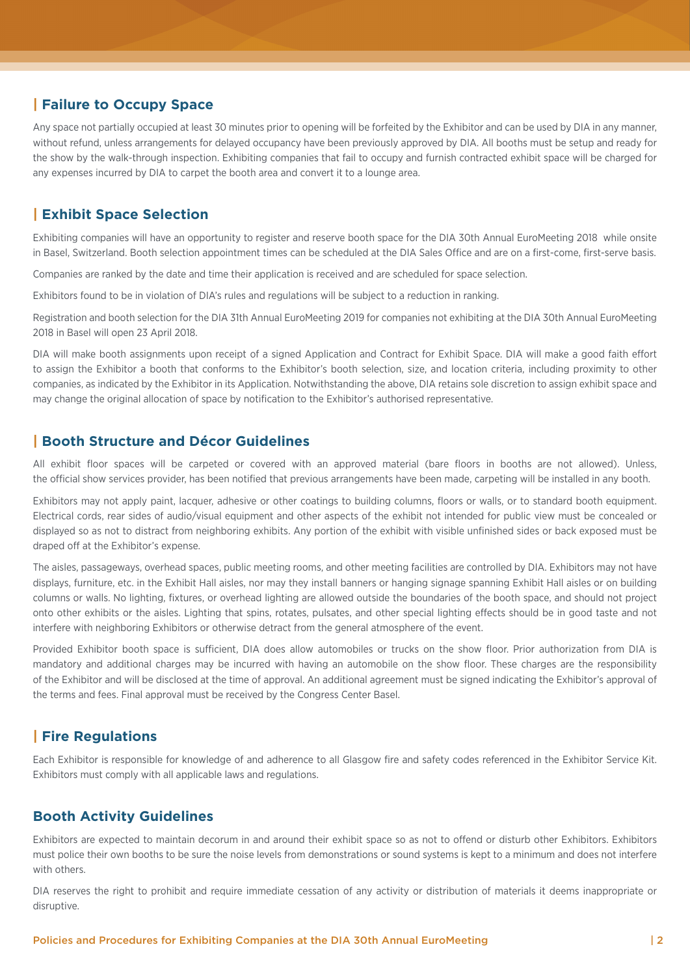# **| Failure to Occupy Space**

Any space not partially occupied at least 30 minutes prior to opening will be forfeited by the Exhibitor and can be used by DIA in any manner, without refund, unless arrangements for delayed occupancy have been previously approved by DIA. All booths must be setup and ready for the show by the walk-through inspection. Exhibiting companies that fail to occupy and furnish contracted exhibit space will be charged for any expenses incurred by DIA to carpet the booth area and convert it to a lounge area.

# **| Exhibit Space Selection**

Exhibiting companies will have an opportunity to register and reserve booth space for the DIA 30th Annual EuroMeeting 2018 while onsite in Basel, Switzerland. Booth selection appointment times can be scheduled at the DIA Sales Office and are on a first-come, first-serve basis.

Companies are ranked by the date and time their application is received and are scheduled for space selection.

Exhibitors found to be in violation of DIA's rules and regulations will be subject to a reduction in ranking.

Registration and booth selection for the DIA 31th Annual EuroMeeting 2019 for companies not exhibiting at the DIA 30th Annual EuroMeeting 2018 in Basel will open 23 April 2018.

DIA will make booth assignments upon receipt of a signed Application and Contract for Exhibit Space. DIA will make a good faith effort to assign the Exhibitor a booth that conforms to the Exhibitor's booth selection, size, and location criteria, including proximity to other companies, as indicated by the Exhibitor in its Application. Notwithstanding the above, DIA retains sole discretion to assign exhibit space and may change the original allocation of space by notification to the Exhibitor's authorised representative.

## **| Booth Structure and Décor Guidelines**

All exhibit floor spaces will be carpeted or covered with an approved material (bare floors in booths are not allowed). Unless, the official show services provider, has been notified that previous arrangements have been made, carpeting will be installed in any booth.

Exhibitors may not apply paint, lacquer, adhesive or other coatings to building columns, floors or walls, or to standard booth equipment. Electrical cords, rear sides of audio/visual equipment and other aspects of the exhibit not intended for public view must be concealed or displayed so as not to distract from neighboring exhibits. Any portion of the exhibit with visible unfinished sides or back exposed must be draped off at the Exhibitor's expense.

The aisles, passageways, overhead spaces, public meeting rooms, and other meeting facilities are controlled by DIA. Exhibitors may not have displays, furniture, etc. in the Exhibit Hall aisles, nor may they install banners or hanging signage spanning Exhibit Hall aisles or on building columns or walls. No lighting, fixtures, or overhead lighting are allowed outside the boundaries of the booth space, and should not project onto other exhibits or the aisles. Lighting that spins, rotates, pulsates, and other special lighting effects should be in good taste and not interfere with neighboring Exhibitors or otherwise detract from the general atmosphere of the event.

Provided Exhibitor booth space is sufficient, DIA does allow automobiles or trucks on the show floor. Prior authorization from DIA is mandatory and additional charges may be incurred with having an automobile on the show floor. These charges are the responsibility of the Exhibitor and will be disclosed at the time of approval. An additional agreement must be signed indicating the Exhibitor's approval of the terms and fees. Final approval must be received by the Congress Center Basel.

# **| Fire Regulations**

Each Exhibitor is responsible for knowledge of and adherence to all Glasgow fire and safety codes referenced in the Exhibitor Service Kit. Exhibitors must comply with all applicable laws and regulations.

## **Booth Activity Guidelines**

Exhibitors are expected to maintain decorum in and around their exhibit space so as not to offend or disturb other Exhibitors. Exhibitors must police their own booths to be sure the noise levels from demonstrations or sound systems is kept to a minimum and does not interfere with others.

DIA reserves the right to prohibit and require immediate cessation of any activity or distribution of materials it deems inappropriate or disruptive.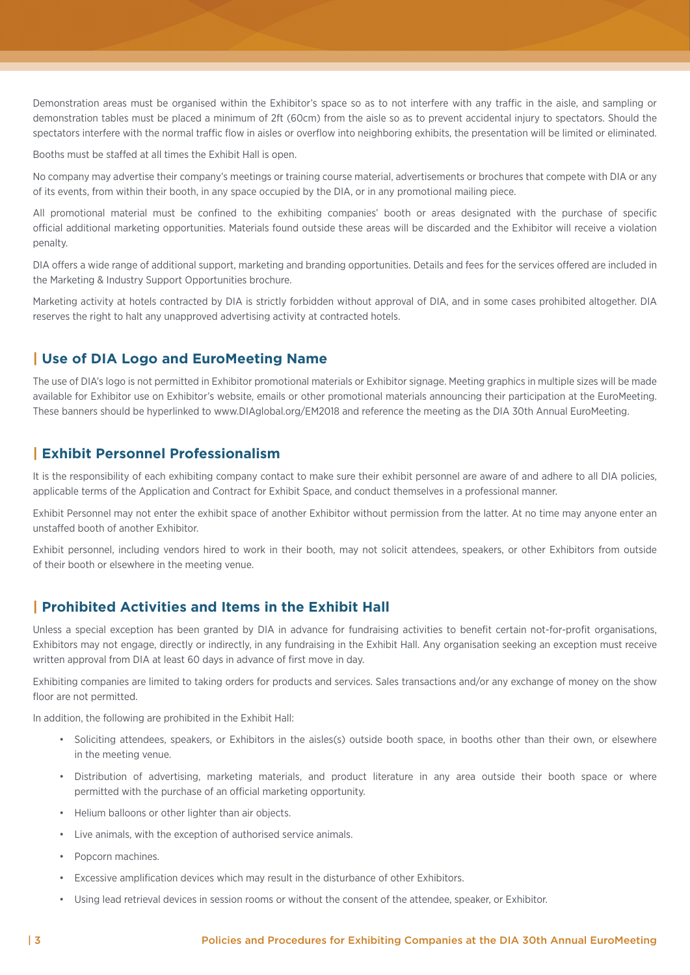Demonstration areas must be organised within the Exhibitor's space so as to not interfere with any traffic in the aisle, and sampling or demonstration tables must be placed a minimum of 2ft (60cm) from the aisle so as to prevent accidental injury to spectators. Should the spectators interfere with the normal traffic flow in aisles or overflow into neighboring exhibits, the presentation will be limited or eliminated.

Booths must be staffed at all times the Exhibit Hall is open.

No company may advertise their company's meetings or training course material, advertisements or brochures that compete with DIA or any of its events, from within their booth, in any space occupied by the DIA, or in any promotional mailing piece.

All promotional material must be confined to the exhibiting companies' booth or areas designated with the purchase of specific official additional marketing opportunities. Materials found outside these areas will be discarded and the Exhibitor will receive a violation penalty.

DIA offers a wide range of additional support, marketing and branding opportunities. Details and fees for the services offered are included in the Marketing & Industry Support Opportunities brochure.

Marketing activity at hotels contracted by DIA is strictly forbidden without approval of DIA, and in some cases prohibited altogether. DIA reserves the right to halt any unapproved advertising activity at contracted hotels.

## **| Use of DIA Logo and EuroMeeting Name**

The use of DIA's logo is not permitted in Exhibitor promotional materials or Exhibitor signage. Meeting graphics in multiple sizes will be made available for Exhibitor use on Exhibitor's website, emails or other promotional materials announcing their participation at the EuroMeeting. These banners should be hyperlinked to www.DIAglobal.org/EM2018 and reference the meeting as the DIA 30th Annual EuroMeeting.

#### **| Exhibit Personnel Professionalism**

It is the responsibility of each exhibiting company contact to make sure their exhibit personnel are aware of and adhere to all DIA policies, applicable terms of the Application and Contract for Exhibit Space, and conduct themselves in a professional manner.

Exhibit Personnel may not enter the exhibit space of another Exhibitor without permission from the latter. At no time may anyone enter an unstaffed booth of another Exhibitor.

Exhibit personnel, including vendors hired to work in their booth, may not solicit attendees, speakers, or other Exhibitors from outside of their booth or elsewhere in the meeting venue.

#### **| Prohibited Activities and Items in the Exhibit Hall**

Unless a special exception has been granted by DIA in advance for fundraising activities to benefit certain not-for-profit organisations, Exhibitors may not engage, directly or indirectly, in any fundraising in the Exhibit Hall. Any organisation seeking an exception must receive written approval from DIA at least 60 days in advance of first move in day.

Exhibiting companies are limited to taking orders for products and services. Sales transactions and/or any exchange of money on the show floor are not permitted.

In addition, the following are prohibited in the Exhibit Hall:

- Soliciting attendees, speakers, or Exhibitors in the aisles(s) outside booth space, in booths other than their own, or elsewhere in the meeting venue.
- Distribution of advertising, marketing materials, and product literature in any area outside their booth space or where permitted with the purchase of an official marketing opportunity.
- Helium balloons or other lighter than air objects.
- Live animals, with the exception of authorised service animals.
- Popcorn machines.
- Excessive amplification devices which may result in the disturbance of other Exhibitors.
- Using lead retrieval devices in session rooms or without the consent of the attendee, speaker, or Exhibitor.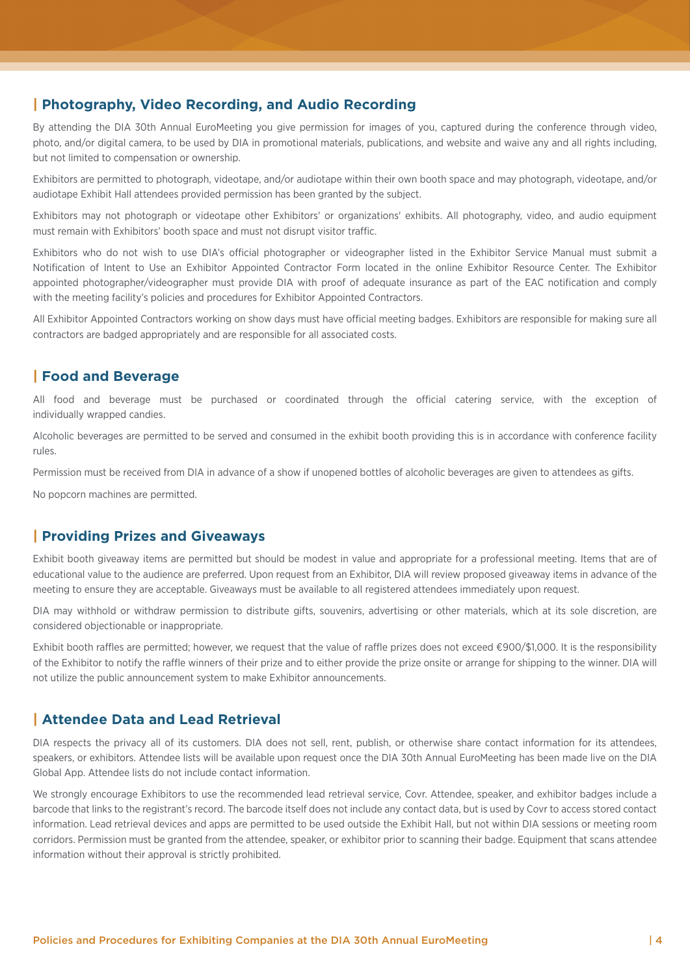#### **| Photography, Video Recording, and Audio Recording**

By attending the DIA 30th Annual EuroMeeting you give permission for images of you, captured during the conference through video, photo, and/or digital camera, to be used by DIA in promotional materials, publications, and website and waive any and all rights including, but not limited to compensation or ownership.

Exhibitors are permitted to photograph, videotape, and/or audiotape within their own booth space and may photograph, videotape, and/or audiotape Exhibit Hall attendees provided permission has been granted by the subject.

Exhibitors may not photograph or videotape other Exhibitors' or organizations' exhibits. All photography, video, and audio equipment must remain with Exhibitors' booth space and must not disrupt visitor traffic.

Exhibitors who do not wish to use DIA's official photographer or videographer listed in the Exhibitor Service Manual must submit a Notification of Intent to Use an Exhibitor Appointed Contractor Form located in the online Exhibitor Resource Center. The Exhibitor appointed photographer/videographer must provide DIA with proof of adequate insurance as part of the EAC notification and comply with the meeting facility's policies and procedures for Exhibitor Appointed Contractors.

All Exhibitor Appointed Contractors working on show days must have official meeting badges. Exhibitors are responsible for making sure all contractors are badged appropriately and are responsible for all associated costs.

## **| Food and Beverage**

All food and beverage must be purchased or coordinated through the official catering service, with the exception of individually wrapped candies.

Alcoholic beverages are permitted to be served and consumed in the exhibit booth providing this is in accordance with conference facility rules.

Permission must be received from DIA in advance of a show if unopened bottles of alcoholic beverages are given to attendees as gifts.

No popcorn machines are permitted.

#### **| Providing Prizes and Giveaways**

Exhibit booth giveaway items are permitted but should be modest in value and appropriate for a professional meeting. Items that are of educational value to the audience are preferred. Upon request from an Exhibitor, DIA will review proposed giveaway items in advance of the meeting to ensure they are acceptable. Giveaways must be available to all registered attendees immediately upon request.

DIA may withhold or withdraw permission to distribute gifts, souvenirs, advertising or other materials, which at its sole discretion, are considered objectionable or inappropriate.

Exhibit booth raffles are permitted; however, we request that the value of raffle prizes does not exceed €900/\$1,000. It is the responsibility of the Exhibitor to notify the raffle winners of their prize and to either provide the prize onsite or arrange for shipping to the winner. DIA will not utilize the public announcement system to make Exhibitor announcements.

#### **| Attendee Data and Lead Retrieval**

DIA respects the privacy all of its customers. DIA does not sell, rent, publish, or otherwise share contact information for its attendees, speakers, or exhibitors. Attendee lists will be available upon request once the DIA 30th Annual EuroMeeting has been made live on the DIA Global App. Attendee lists do not include contact information.

We strongly encourage Exhibitors to use the recommended lead retrieval service, Covr. Attendee, speaker, and exhibitor badges include a barcode that links to the registrant's record. The barcode itself does not include any contact data, but is used by Covr to access stored contact information. Lead retrieval devices and apps are permitted to be used outside the Exhibit Hall, but not within DIA sessions or meeting room corridors. Permission must be granted from the attendee, speaker, or exhibitor prior to scanning their badge. Equipment that scans attendee information without their approval is strictly prohibited.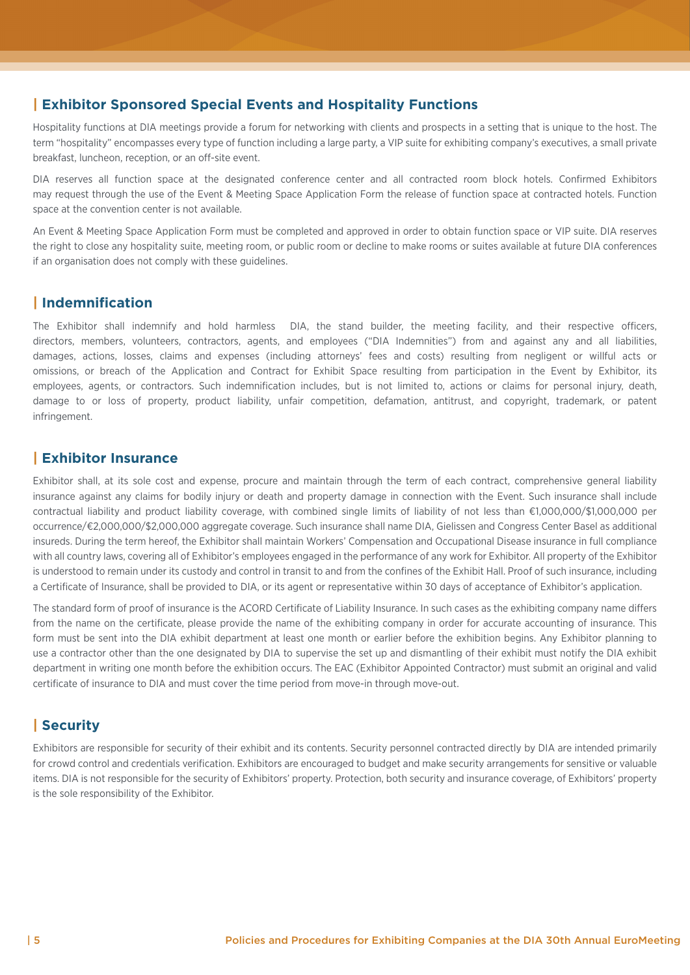#### **| Exhibitor Sponsored Special Events and Hospitality Functions**

Hospitality functions at DIA meetings provide a forum for networking with clients and prospects in a setting that is unique to the host. The term "hospitality" encompasses every type of function including a large party, a VIP suite for exhibiting company's executives, a small private breakfast, luncheon, reception, or an off-site event.

DIA reserves all function space at the designated conference center and all contracted room block hotels. Confirmed Exhibitors may request through the use of the Event & Meeting Space Application Form the release of function space at contracted hotels. Function space at the convention center is not available.

An Event & Meeting Space Application Form must be completed and approved in order to obtain function space or VIP suite. DIA reserves the right to close any hospitality suite, meeting room, or public room or decline to make rooms or suites available at future DIA conferences if an organisation does not comply with these guidelines.

## **| Indemnification**

The Exhibitor shall indemnify and hold harmless DIA, the stand builder, the meeting facility, and their respective officers, directors, members, volunteers, contractors, agents, and employees ("DIA Indemnities") from and against any and all liabilities, damages, actions, losses, claims and expenses (including attorneys' fees and costs) resulting from negligent or willful acts or omissions, or breach of the Application and Contract for Exhibit Space resulting from participation in the Event by Exhibitor, its employees, agents, or contractors. Such indemnification includes, but is not limited to, actions or claims for personal injury, death, damage to or loss of property, product liability, unfair competition, defamation, antitrust, and copyright, trademark, or patent infringement.

## **| Exhibitor Insurance**

Exhibitor shall, at its sole cost and expense, procure and maintain through the term of each contract, comprehensive general liability insurance against any claims for bodily injury or death and property damage in connection with the Event. Such insurance shall include contractual liability and product liability coverage, with combined single limits of liability of not less than €1,000,000/\$1,000,000 per occurrence/€2,000,000/\$2,000,000 aggregate coverage. Such insurance shall name DIA, Gielissen and Congress Center Basel as additional insureds. During the term hereof, the Exhibitor shall maintain Workers' Compensation and Occupational Disease insurance in full compliance with all country laws, covering all of Exhibitor's employees engaged in the performance of any work for Exhibitor. All property of the Exhibitor is understood to remain under its custody and control in transit to and from the confines of the Exhibit Hall. Proof of such insurance, including a Certificate of Insurance, shall be provided to DIA, or its agent or representative within 30 days of acceptance of Exhibitor's application.

The standard form of proof of insurance is the ACORD Certificate of Liability Insurance. In such cases as the exhibiting company name differs from the name on the certificate, please provide the name of the exhibiting company in order for accurate accounting of insurance. This form must be sent into the DIA exhibit department at least one month or earlier before the exhibition begins. Any Exhibitor planning to use a contractor other than the one designated by DIA to supervise the set up and dismantling of their exhibit must notify the DIA exhibit department in writing one month before the exhibition occurs. The EAC (Exhibitor Appointed Contractor) must submit an original and valid certificate of insurance to DIA and must cover the time period from move-in through move-out.

# **| Security**

Exhibitors are responsible for security of their exhibit and its contents. Security personnel contracted directly by DIA are intended primarily for crowd control and credentials verification. Exhibitors are encouraged to budget and make security arrangements for sensitive or valuable items. DIA is not responsible for the security of Exhibitors' property. Protection, both security and insurance coverage, of Exhibitors' property is the sole responsibility of the Exhibitor.